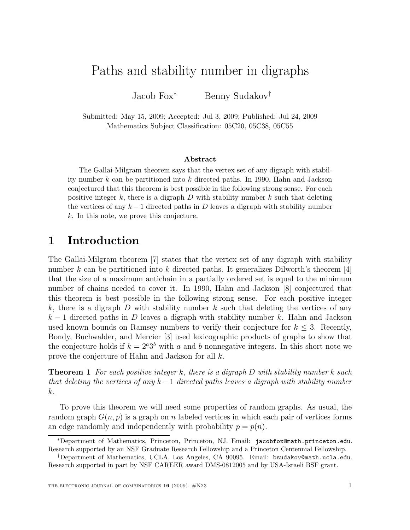## Paths and stability number in digraphs

Jacob Fox<sup>∗</sup> Benny Sudakov†

Submitted: May 15, 2009; Accepted: Jul 3, 2009; Published: Jul 24, 2009 Mathematics Subject Classification: 05C20, 05C38, 05C55

## Abstract

The Gallai-Milgram theorem says that the vertex set of any digraph with stability number k can be partitioned into k directed paths. In 1990, Hahn and Jackson conjectured that this theorem is best possible in the following strong sense. For each positive integer  $k$ , there is a digraph  $D$  with stability number  $k$  such that deleting the vertices of any  $k-1$  directed paths in D leaves a digraph with stability number k. In this note, we prove this conjecture.

## 1 Introduction

The Gallai-Milgram theorem [7] states that the vertex set of any digraph with stability number k can be partitioned into k directed paths. It generalizes Dilworth's theorem [4] that the size of a maximum antichain in a partially ordered set is equal to the minimum number of chains needed to cover it. In 1990, Hahn and Jackson [8] conjectured that this theorem is best possible in the following strong sense. For each positive integer k, there is a digraph  $D$  with stability number k such that deleting the vertices of any  $k-1$  directed paths in D leaves a digraph with stability number k. Hahn and Jackson used known bounds on Ramsey numbers to verify their conjecture for  $k \leq 3$ . Recently, Bondy, Buchwalder, and Mercier [3] used lexicographic products of graphs to show that the conjecture holds if  $k = 2^a 3^b$  with a and b nonnegative integers. In this short note we prove the conjecture of Hahn and Jackson for all k.

**Theorem 1** For each positive integer k, there is a digraph D with stability number k such that deleting the vertices of any  $k-1$  directed paths leaves a digraph with stability number k.

To prove this theorem we will need some properties of random graphs. As usual, the random graph  $G(n, p)$  is a graph on n labeled vertices in which each pair of vertices forms an edge randomly and independently with probability  $p = p(n)$ .

<sup>∗</sup>Department of Mathematics, Princeton, Princeton, NJ. Email: jacobfox@math.princeton.edu. Research supported by an NSF Graduate Research Fellowship and a Princeton Centennial Fellowship.

<sup>†</sup>Department of Mathematics, UCLA, Los Angeles, CA 90095. Email: bsudakov@math.ucla.edu. Research supported in part by NSF CAREER award DMS-0812005 and by USA-Israeli BSF grant.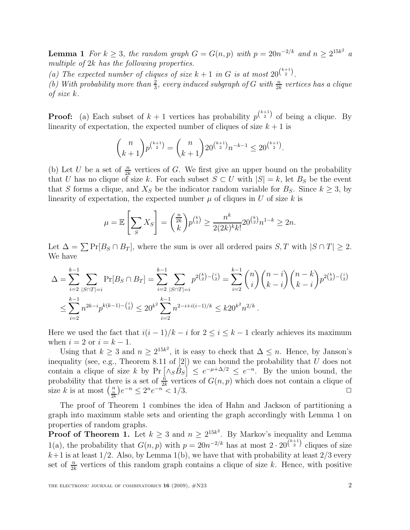**Lemma 1** For  $k \geq 3$ , the random graph  $G = G(n, p)$  with  $p = 20n^{-2/k}$  and  $n \geq 2^{15k^2}$  a multiple of 2k has the following properties.

(a) The expected number of cliques of size  $k + 1$  in G is at most  $20^{\binom{k+1}{2}}$ .

(b) With probability more than  $\frac{2}{3}$ , every induced subgraph of G with  $\frac{n}{2k}$  vertices has a clique of size k.

**Proof:** (a) Each subset of  $k + 1$  vertices has probability  $p^{\binom{k+1}{2}}$  of being a clique. By linearity of expectation, the expected number of cliques of size  $k + 1$  is

$$
\binom{n}{k+1} p^{\binom{k+1}{2}} = \binom{n}{k+1} 20^{\binom{k+1}{2}} n^{-k-1} \le 20^{\binom{k+1}{2}}.
$$

(b) Let U be a set of  $\frac{n}{2k}$  vertices of G. We first give an upper bound on the probability that U has no clique of size k. For each subset  $S \subset U$  with  $|S| = k$ , let  $B_S$  be the event that S forms a clique, and  $X_S$  be the indicator random variable for  $B_S$ . Since  $k \geq 3$ , by linearity of expectation, the expected number  $\mu$  of cliques in U of size k is

$$
\mu = \mathbb{E}\left[\sum_{S} X_{S}\right] = \binom{\frac{n}{2k}}{k} p^{\binom{k}{2}} \ge \frac{n^{k}}{2(2k)^{k}k!} 20^{\binom{k}{2}} n^{1-k} \ge 2n.
$$

Let  $\Delta = \sum \Pr[B_S \cap B_T]$ , where the sum is over all ordered pairs  $S, T$  with  $|S \cap T| \geq 2$ . We have

$$
\Delta = \sum_{i=2}^{k-1} \sum_{|S \cap T| = i} \Pr[B_S \cap B_T] = \sum_{i=2}^{k-1} \sum_{|S \cap T| = i} p^{2\binom{k}{2} - \binom{i}{2}} = \sum_{i=2}^{k-1} {n \choose i} {n-i \choose k-i} {n-k \choose k-i} p^{2\binom{k}{2} - \binom{i}{2}}
$$
  

$$
\leq \sum_{i=2}^{k-1} n^{2k-i} p^{k(k-1) - \binom{i}{2}} \leq 20^{k^2} \sum_{i=2}^{k-1} n^{2-i+i(i-1)/k} \leq k 20^{k^2} n^{2/k}.
$$

Here we used the fact that  $i(i-1)/k - i$  for  $2 \le i \le k-1$  clearly achieves its maximum when  $i = 2$  or  $i = k - 1$ .

Using that  $k \geq 3$  and  $n \geq 2^{15k^2}$ , it is easy to check that  $\Delta \leq n$ . Hence, by Janson's inequality (see, e.g., Theorem 8.11 of  $[2]$ ) we can bound the probability that U does not contain a clique of size k by  $Pr\left[\frac{\wedge_S B_S}{]} \leq e^{-\mu+\Delta/2} \leq e^{-n}$ . By the union bound, the probability that there is a set of  $\frac{n}{2k}$  vertices of  $G(n, p)$  which does not contain a clique of size k is at most  $\binom{n}{\frac{n}{2k}}e^{-n} \leq 2^n e^{-n^2} < 1/3$ .

The proof of Theorem 1 combines the idea of Hahn and Jackson of partitioning a graph into maximum stable sets and orienting the graph accordingly with Lemma 1 on properties of random graphs.

**Proof of Theorem 1.** Let  $k \geq 3$  and  $n \geq 2^{15k^2}$ . By Markov's inequality and Lemma 1(a), the probability that  $G(n, p)$  with  $p = 20n^{-2/k}$  has at most  $2 \cdot 20^{k+1}$  cliques of size  $k+1$  is at least  $1/2$ . Also, by Lemma  $1(b)$ , we have that with probability at least  $2/3$  every set of  $\frac{n}{2k}$  vertices of this random graph contains a clique of size k. Hence, with positive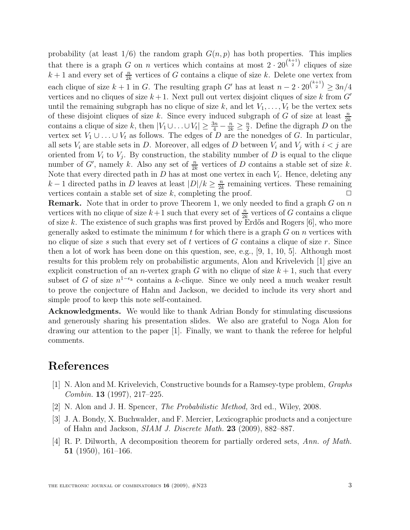probability (at least  $1/6$ ) the random graph  $G(n, p)$  has both properties. This implies that there is a graph G on n vertices which contains at most  $2 \cdot 20^{\binom{k+1}{2}}$  cliques of size  $k+1$  and every set of  $\frac{n}{2k}$  vertices of G contains a clique of size k. Delete one vertex from each clique of size  $k + 1$  in G. The resulting graph G' has at least  $n - 2 \cdot 20^{\binom{k+1}{2}} \geq 3n/4$ vertices and no cliques of size  $k + 1$ . Next pull out vertex disjoint cliques of size k from  $G'$ until the remaining subgraph has no clique of size k, and let  $V_1, \ldots, V_t$  be the vertex sets of these disjoint cliques of size k. Since every induced subgraph of G of size at least  $\frac{n}{2k}$ contains a clique of size k, then  $|V_1 \cup ... \cup V_t| \geq \frac{3n}{4} - \frac{n}{2k} \geq \frac{n}{2}$  $\frac{n}{2}$ . Define the digraph D on the vertex set  $V_1 \cup \ldots \cup V_t$  as follows. The edges of D are the nonedges of G. In particular, all sets  $V_i$  are stable sets in D. Moreover, all edges of D between  $V_i$  and  $V_j$  with  $i < j$  are oriented from  $V_i$  to  $V_j$ . By construction, the stability number of D is equal to the clique number of G', namely k. Also any set of  $\frac{n}{2k}$  vertices of D contains a stable set of size k. Note that every directed path in  $D$  has at most one vertex in each  $V_i$ . Hence, deleting any  $k-1$  directed paths in D leaves at least  $|D|/k \geq \frac{n}{2k}$  $\frac{n}{2k}$  remaining vertices. These remaining vertices contain a stable set of size  $k$ , completing the proof.

**Remark.** Note that in order to prove Theorem 1, we only needed to find a graph  $G$  on  $n$ vertices with no clique of size  $k+1$  such that every set of  $\frac{n}{2k}$  vertices of G contains a clique of size k. The existence of such graphs was first proved by Erdős and Rogers  $[6]$ , who more generally asked to estimate the minimum t for which there is a graph  $G$  on  $n$  vertices with no clique of size s such that every set of t vertices of G contains a clique of size r. Since then a lot of work has been done on this question, see, e.g., [9, 1, 10, 5]. Although most results for this problem rely on probabilistic arguments, Alon and Krivelevich [1] give an explicit construction of an *n*-vertex graph G with no clique of size  $k + 1$ , such that every subset of G of size  $n^{1-\epsilon_k}$  contains a k-clique. Since we only need a much weaker result to prove the conjecture of Hahn and Jackson, we decided to include its very short and simple proof to keep this note self-contained.

Acknowledgments. We would like to thank Adrian Bondy for stimulating discussions and generously sharing his presentation slides. We also are grateful to Noga Alon for drawing our attention to the paper [1]. Finally, we want to thank the referee for helpful comments.

## References

- [1] N. Alon and M. Krivelevich, Constructive bounds for a Ramsey-type problem, Graphs Combin. 13 (1997), 217–225.
- [2] N. Alon and J. H. Spencer, The Probabilistic Method, 3rd ed., Wiley, 2008.
- [3] J. A. Bondy, X. Buchwalder, and F. Mercier, Lexicographic products and a conjecture of Hahn and Jackson, SIAM J. Discrete Math. 23 (2009), 882–887.
- [4] R. P. Dilworth, A decomposition theorem for partially ordered sets, Ann. of Math. 51 (1950), 161–166.